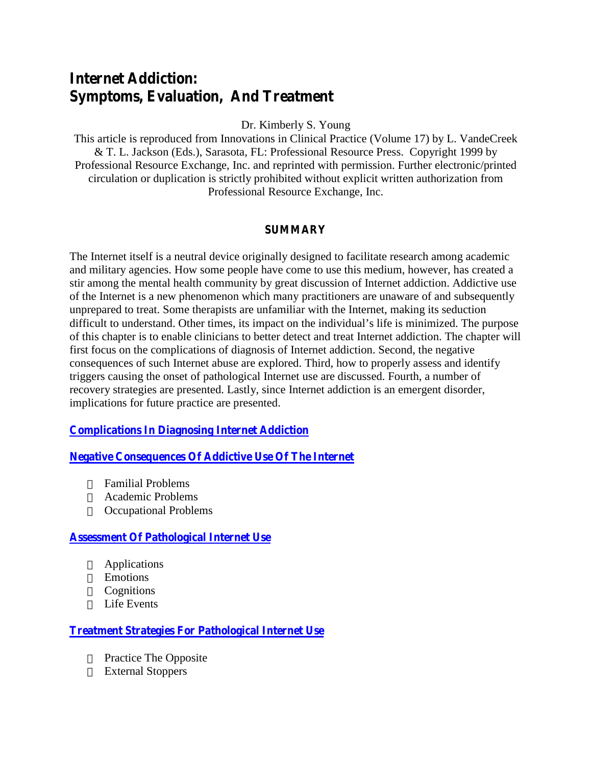# **Internet Addiction: Symptoms, Evaluation, And Treatment**

Dr. Kimberly S. Young

This article is reproduced from Innovations in Clinical Practice (Volume 17) by L. VandeCreek & T. L. Jackson (Eds.), Sarasota, FL: Professional Resource Press. Copyright 1999 by Professional Resource Exchange, Inc. and reprinted with permission. Further electronic/printed circulation or duplication is strictly prohibited without explicit written authorization from Professional Resource Exchange, Inc.

#### **SUMMARY**

The Internet itself is a neutral device originally designed to facilitate research among academic and military agencies. How some people have come to use this medium, however, has created a stir among the mental health community by great discussion of Internet addiction. Addictive use of the Internet is a new phenomenon which many practitioners are unaware of and subsequently unprepared to treat. Some therapists are unfamiliar with the Internet, making its seduction difficult to understand. O ther tim es, its im pact on the individual's life is m inim ized. T he purpose of this chapter is to enable clinicians to better detect and treat Internet addiction. The chapter will first focus on the complications of diagnosis of Internet addiction. Second, the negative consequences of such Internet abuse are explored. Third, how to properly assess and identify triggers causing the onset of pathological Internet use are discussed. Fourth, a number of recovery strategies are presented. Lastly, since Internet addiction is an emergent disorder, implications for future practice are presented.

<span id="page-0-0"></span>**[Complications In Diagnosing Internet Addiction](#page-1-0)**

**[Negative Consequences Of Addictive Use Of The Internet](#page-2-0)**

Familial Problems Academic Problems Occupational Problems

#### **[Assessment Of Pathological Internet Use](#page-5-0)**

Applications Emotions **Cognitions** Life Events

**[Treatment Strategies For Pathological Internet Use](#page-9-0)**

Practice The Opposite External Stoppers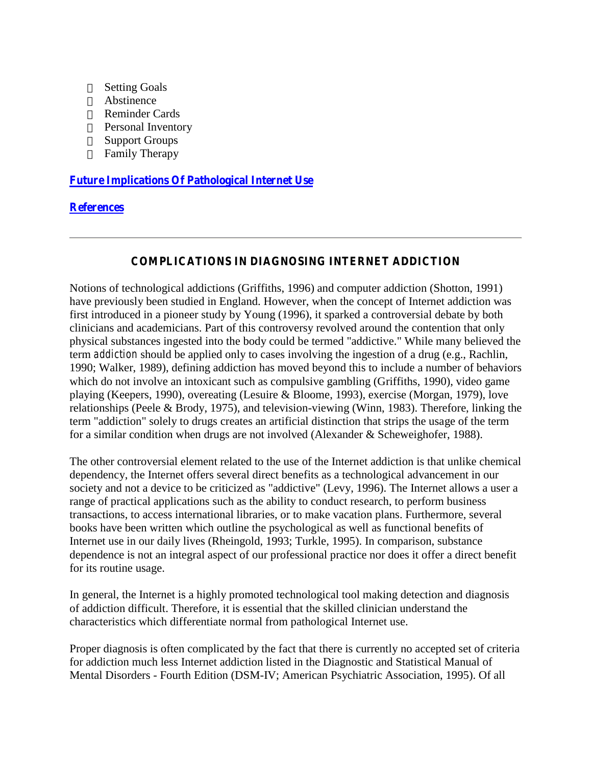Setting Goals Abstinence Reminder Cards Personal Inventory Support Groups Family Therapy

**[Future Implications Of Pathological Internet Use](#page-13-0)**

### **[References](#page-14-0)**

#### **COMPLICATIONS IN DIAGNOSING INTERNET ADDICTION**

<span id="page-1-0"></span>Notions of technological addictions (Griffiths, 1996) and computer addiction (Shotton, 1991) have previously been studied in England. However, when the concept of Internet addiction was first introduced in a pioneer study by Young (1996), it sparked a controversial debate by both clinicians and academicians. Part of this controversy revolved around the contention that only physical substances ingested into the body could be termed "addictive." While many believed the term *addiction* should be applied only to cases involving the ingestion of a drug (e.g., Rachlin, 1990; Walker, 1989), defining addiction has moved beyond this to include a number of behaviors which do not involve an intoxicant such as compulsive gambling (Griffiths, 1990), video game playing (Keepers, 1990), overeating (Lesuire & Bloome, 1993), exercise (Morgan, 1979), love relationships (Peele & Brody, 1975), and television-viewing (Winn, 1983). Therefore, linking the term "addiction" solely to drugs creates an artificial distinction that strips the usage of the term for a similar condition when drugs are not involved (Alexander & Scheweighofer, 1988).

The other controversial element related to the use of the Internet addiction is that unlike chemical dependency, the Internet offers several direct benefits as a technological advancement in our society and not a device to be criticized as "addictive" (Levy, 1996). The Internet allows a user a range of practical applications such as the ability to conduct research, to perform business transactions, to access international libraries, or to make vacation plans. Furthermore, several books have been written which outline the psychological as well as functional benefits of Internet use in our daily lives (Rheingold, 1993; Turkle, 1995). In comparison, substance dependence is not an integral aspect of our professional practice nor does it offer a direct benefit for its routine usage.

In general, the Internet is a highly promoted technological tool making detection and diagnosis of addiction difficult. Therefore, it is essential that the skilled clinician understand the characteristics which differentiate normal from pathological Internet use.

Proper diagnosis is often complicated by the fact that there is currently no accepted set of criteria for addiction much less Internet addiction listed in the Diagnostic and Statistical Manual of Mental Disorders - Fourth Edition (DSM-IV; American Psychiatric Association, 1995). Of all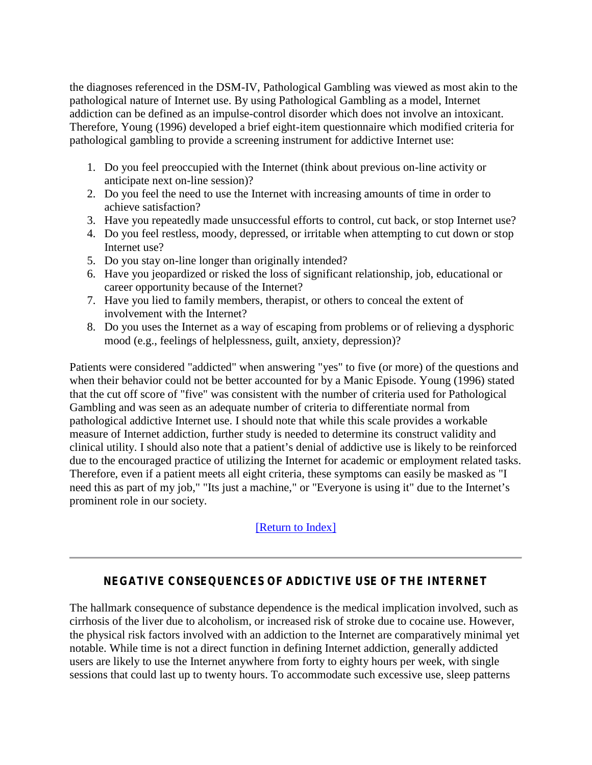the diagnoses referenced in the DSM-IV, Pathological Gambling was viewed as most akin to the pathological nature of Internet use. By using Pathological Gambling as a model, Internet addiction can be defined as an impulse-control disorder which does not involve an intoxicant. Therefore, Young (1996) developed a brief eight-item questionnaire which modified criteria for pathological gambling to provide a screening instrument for addictive Internet use:

- 1. Do you feel preoccupied with the Internet (think about previous on-line activity or anticipate next on-line session)?
- 2. Do you feel the need to use the Internet with increasing amounts of time in order to achieve satisfaction?
- 3. Have you repeatedly made unsuccessful efforts to control, cut back, or stop Internet use?
- 4. Do you feel restless, moody, depressed, or irritable when attempting to cut down or stop Internet use?
- 5. Do you stay on-line longer than originally intended?
- 6. Have you jeopardized or risked the loss of significant relationship, job, educational or career opportunity because of the Internet?
- 7. Have you lied to family members, therapist, or others to conceal the extent of involvement with the Internet?
- 8. Do you uses the Internet as a way of escaping from problems or of relieving a dysphoric mood (e.g., feelings of helplessness, guilt, anxiety, depression)?

Patients were considered "addicted" when answering "yes" to five (or more) of the questions and when their behavior could not be better accounted for by a Manic Episode. Young (1996) stated that the cut off score of "five" was consistent with the number of criteria used for Pathological Gambling and was seen as an adequate number of criteria to differentiate normal from pathological addictive Internet use. I should note that while this scale provides a workable measure of Internet addiction, further study is needed to determine its construct validity and clinical utility. I should also note that a patient's denial of addictive use is likely to be reinforced due to the encouraged practice of utilizing the Internet for academic or employment related tasks. Therefore, even if a patient meets all eight criteria, these symptoms can easily be masked as "I need this as part of m y job," "Its just a m achine," or "E veryone is using it" due to the Internet's prominent role in our society.

[\[Return to Index\]](#page-0-0)

## **NEGATIVE CONSEQUENCES OF ADDICTIVE USE OF THE INTERNET**

<span id="page-2-0"></span>The hallmark consequence of substance dependence is the medical implication involved, such as cirrhosis of the liver due to alcoholism, or increased risk of stroke due to cocaine use. However, the physical risk factors involved with an addiction to the Internet are comparatively minimal yet notable. While time is not a direct function in defining Internet addiction, generally addicted users are likely to use the Internet anywhere from forty to eighty hours per week, with single sessions that could last up to twenty hours. To accommodate such excessive use, sleep patterns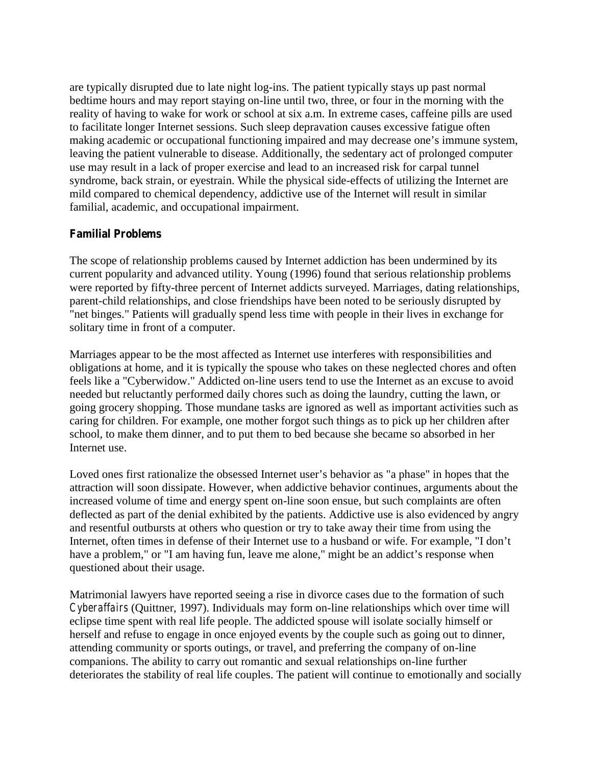are typically disrupted due to late night log-ins. The patient typically stays up past normal bedtime hours and may report staying on-line until two, three, or four in the morning with the reality of having to wake for work or school at six a.m. In extreme cases, caffeine pills are used to facilitate longer Internet sessions. Such sleep depravation causes excessive fatigue often m aking academ ic or occupational functioning impaired and m ay decrease one's immune system, leaving the patient vulnerable to disease. Additionally, the sedentary act of prolonged computer use may result in a lack of proper exercise and lead to an increased risk for carpal tunnel syndrome, back strain, or eyestrain. While the physical side-effects of utilizing the Internet are mild compared to chemical dependency, addictive use of the Internet will result in similar familial, academic, and occupational impairment.

### **Familial Problems**

The scope of relationship problems caused by Internet addiction has been undermined by its current popularity and advanced utility. Young (1996) found that serious relationship problems were reported by fifty-three percent of Internet addicts surveyed. Marriages, dating relationships, parent-child relationships, and close friendships have been noted to be seriously disrupted by "net binges." Patients will gradually spend less time with people in their lives in exchange for solitary time in front of a computer.

Marriages appear to be the most affected as Internet use interferes with responsibilities and obligations at home, and it is typically the spouse who takes on these neglected chores and often feels like a "Cyberwidow." Addicted on-line users tend to use the Internet as an excuse to avoid needed but reluctantly performed daily chores such as doing the laundry, cutting the lawn, or going grocery shopping. Those mundane tasks are ignored as well as important activities such as caring for children. For example, one mother forgot such things as to pick up her children after school, to make them dinner, and to put them to bed because she became so absorbed in her Internet use.

Loved ones first rationalize the obsessed Internet user's behavior as "a phase" in hopes that the attraction will soon dissipate. However, when addictive behavior continues, arguments about the increased volume of time and energy spent on-line soon ensue, but such complaints are often deflected as part of the denial exhibited by the patients. Addictive use is also evidenced by angry and resentful outbursts at others who question or try to take away their time from using the Internet, often times in defense of their Internet use to a husband or w ife. For example, "I don't have a problem," or "I am having fun, leave m e alone," m ight be an addict's response when questioned about their usage.

Matrimonial lawyers have reported seeing a rise in divorce cases due to the formation of such *Cyberaffairs* (Quittner, 1997). Individuals may form on-line relationships which over time will eclipse time spent with real life people. The addicted spouse will isolate socially himself or herself and refuse to engage in once enjoyed events by the couple such as going out to dinner, attending community or sports outings, or travel, and preferring the company of on-line companions. The ability to carry out romantic and sexual relationships on-line further deteriorates the stability of real life couples. The patient will continue to emotionally and socially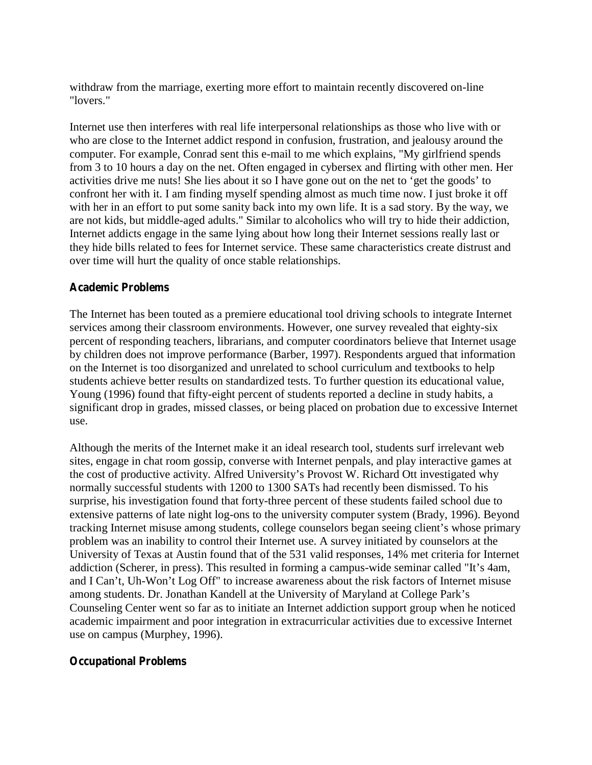withdraw from the marriage, exerting more effort to maintain recently discovered on-line "lovers."

Internet use then interferes with real life interpersonal relationships as those who live with or who are close to the Internet addict respond in confusion, frustration, and jealousy around the computer. For example, Conrad sent this e-mail to me which explains, "My girlfriend spends from 3 to 10 hours a day on the net. Often engaged in cybersex and flirting with other men. Her activities drive m e nuts! She lies about it so I have gone out on the net to 'get the goods' to confront her with it. I am finding myself spending almost as much time now. I just broke it off with her in an effort to put some sanity back into my own life. It is a sad story. By the way, we are not kids, but middle-aged adults." Similar to alcoholics who will try to hide their addiction, Internet addicts engage in the same lying about how long their Internet sessions really last or they hide bills related to fees for Internet service. These same characteristics create distrust and over time will hurt the quality of once stable relationships.

#### **Academic Problems**

The Internet has been touted as a premiere educational tool driving schools to integrate Internet services among their classroom environments. However, one survey revealed that eighty-six percent of responding teachers, librarians, and computer coordinators believe that Internet usage by children does not improve performance (Barber, 1997). Respondents argued that information on the Internet is too disorganized and unrelated to school curriculum and textbooks to help students achieve better results on standardized tests. To further question its educational value, Young (1996) found that fifty-eight percent of students reported a decline in study habits, a significant drop in grades, missed classes, or being placed on probation due to excessive Internet use.

Although the merits of the Internet make it an ideal research tool, students surf irrelevant web sites, engage in chat room gossip, converse with Internet penpals, and play interactive games at the cost of productive activity. A lfred U niversity's P rovost W . R ichard Ott investigated why normally successful students with 1200 to 1300 SATs had recently been dismissed. To his surprise, his investigation found that forty-three percent of these students failed school due to extensive patterns of late night log-ons to the university computer system (Brady, 1996). Beyond tracking Internet m isuse am ong students, college counselors began seeing client's whose prim ary problem was an inability to control their Internet use. A survey initiated by counselors at the University of Texas at Austin found that of the 531 valid responses, 14% met criteria for Internet addiction (Scherer, in press). This resulted in forming a campus-w ide sem inar called "It's 4am , and IC an't, U h-W on't L og 0 ff" to increase aw areness about the risk factors of Internet misuse am ong students. D r. Jonathan K andell at the U niv ersity of M aryland at C ollege P ark's Counseling Center went so far as to initiate an Internet addiction support group when he noticed academic impairment and poor integration in extracurricular activities due to excessive Internet use on campus (Murphey, 1996).

#### **Occupational Problems**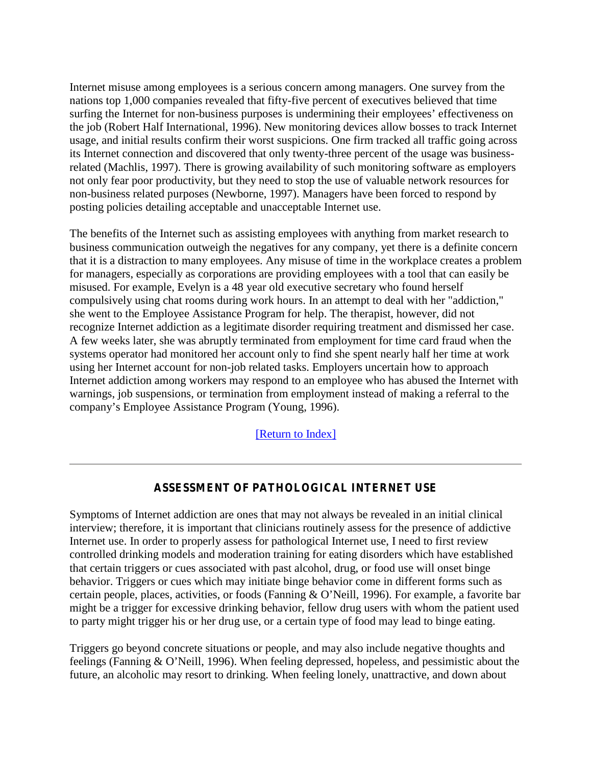Internet misuse among employees is a serious concern among managers. One survey from the nations top 1,000 companies revealed that fifty-five percent of executives believed that time surfing the Internet for non-business purposes is underm ining their employees' effectiveness on the job (Robert Half International, 1996). New monitoring devices allow bosses to track Internet usage, and initial results confirm their worst suspicions. One firm tracked all traffic going across its Internet connection and discovered that only twenty-three percent of the usage was businessrelated (Machlis, 1997). There is growing availability of such monitoring software as employers not only fear poor productivity, but they need to stop the use of valuable network resources for non-business related purposes (Newborne, 1997). Managers have been forced to respond by posting policies detailing acceptable and unacceptable Internet use.

The benefits of the Internet such as assisting employees with anything from market research to business communication outweigh the negatives for any company, yet there is a definite concern that it is a distraction to many employees. Any misuse of time in the workplace creates a problem for managers, especially as corporations are providing employees with a tool that can easily be misused. For example, Evelyn is a 48 year old executive secretary who found herself compulsively using chat rooms during work hours. In an attempt to deal with her "addiction," she went to the Employee Assistance Program for help. The therapist, however, did not recognize Internet addiction as a legitimate disorder requiring treatment and dismissed her case. A few weeks later, she was abruptly terminated from employment for time card fraud when the systems operator had monitored her account only to find she spent nearly half her time at work using her Internet account for non-job related tasks. Employers uncertain how to approach Internet addiction among workers may respond to an employee who has abused the Internet with warnings, job suspensions, or termination from employment instead of making a referral to the com pany's Employee A ssistance Program (Y oung, 1996).

[\[Return to Index\]](#page-0-0)

## **ASSESSMENT OF PATHOLOGICAL INTERNET USE**

<span id="page-5-0"></span>Symptoms of Internet addiction are ones that may not always be revealed in an initial clinical interview; therefore, it is important that clinicians routinely assess for the presence of addictive Internet use. In order to properly assess for pathological Internet use, I need to first review controlled drinking models and moderation training for eating disorders which have established that certain triggers or cues associated with past alcohol, drug, or food use will onset binge behavior. Triggers or cues which may initiate binge behavior come in different forms such as certain people, places, activities, or foods (Fanning & 0 'N eill, 1996). For example, a favorite bar might be a trigger for excessive drinking behavior, fellow drug users with whom the patient used to party might trigger his or her drug use, or a certain type of food may lead to binge eating.

Triggers go beyond concrete situations or people, and may also include negative thoughts and feelings (Fanning & 0 'N eill, 1996). When feeling depressed, hopeless, and pessimistic about the future, an alcoholic may resort to drinking. When feeling lonely, unattractive, and down about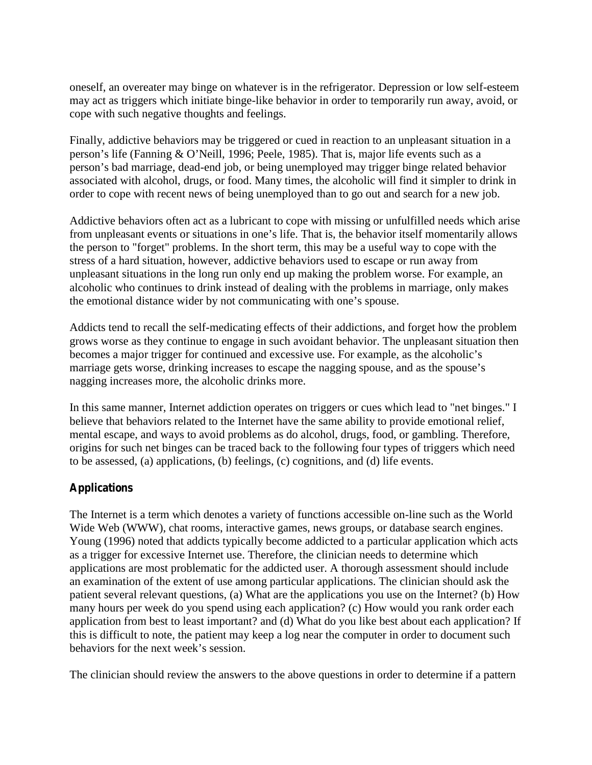oneself, an overeater may binge on whatever is in the refrigerator. Depression or low self-esteem may act as triggers which initiate binge-like behavior in order to temporarily run away, avoid, or cope with such negative thoughts and feelings.

Finally, addictive behaviors may be triggered or cued in reaction to an unpleasant situation in a person's life (Fanning & 0 'N eill, 1996; Peele, 1985). That is, m ajor life events such as a person's bad m arriage, dead-end job, or being unemployed may trigger binge related behavior associated with alcohol, drugs, or food. Many times, the alcoholic will find it simpler to drink in order to cope with recent news of being unemployed than to go out and search for a new job.

Addictive behaviors often act as a lubricant to cope with missing or unfulfilled needs which arise from unpleasant events or situations in one's life. That is, the behavior itself m om entarily allow s the person to "forget" problems. In the short term, this may be a useful way to cope with the stress of a hard situation, however, addictive behaviors used to escape or run away from unpleasant situations in the long run only end up making the problem worse. For example, an alcoholic who continues to drink instead of dealing with the problems in marriage, only makes the emotional distance wider by not communicating w ith one's spouse.

Addicts tend to recall the self-medicating effects of their addictions, and forget how the problem grows worse as they continue to engage in such avoidant behavior. The unpleasant situation then becomes a major trigger for continued and excessive use. For example, as the alcoholic's m arriage gets w orse, drinking increases to escape the nagging spouse, and as the spouse's nagging increases more, the alcoholic drinks more.

In this same manner, Internet addiction operates on triggers or cues which lead to "net binges." I believe that behaviors related to the Internet have the same ability to provide emotional relief, mental escape, and ways to avoid problems as do alcohol, drugs, food, or gambling. Therefore, origins for such net binges can be traced back to the following four types of triggers which need to be assessed, (a) applications, (b) feelings, (c) cognitions, and (d) life events.

## **Applications**

The Internet is a term which denotes a variety of functions accessible on-line such as the World Wide Web (WWW), chat rooms, interactive games, news groups, or database search engines. Young (1996) noted that addicts typically become addicted to a particular application which acts as a trigger for excessive Internet use. Therefore, the clinician needs to determine which applications are most problematic for the addicted user. A thorough assessment should include an examination of the extent of use among particular applications. The clinician should ask the patient several relevant questions, (a) What are the applications you use on the Internet? (b) How many hours per week do you spend using each application? (c) How would you rank order each application from best to least important? and (d) What do you like best about each application? If this is difficult to note, the patient may keep a log near the computer in order to document such behaviors for the next  $w$  eek's session.

The clinician should review the answers to the above questions in order to determine if a pattern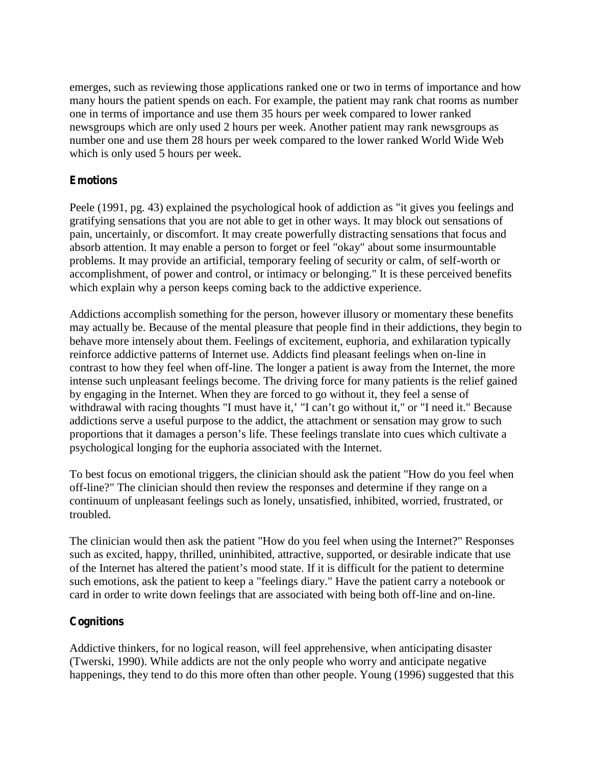emerges, such as reviewing those applications ranked one or two in terms of importance and how many hours the patient spends on each. For example, the patient may rank chat rooms as number one in terms of importance and use them 35 hours per week compared to lower ranked newsgroups which are only used 2 hours per week. Another patient may rank newsgroups as number one and use them 28 hours per week compared to the lower ranked World Wide Web which is only used 5 hours per week.

## **Emotions**

Peele (1991, pg. 43) explained the psychological hook of addiction as "it gives you feelings and gratifying sensations that you are not able to get in other ways. It may block out sensations of pain, uncertainly, or discomfort. It may create powerfully distracting sensations that focus and absorb attention. It may enable a person to forget or feel "okay" about some insurmountable problems. It may provide an artificial, temporary feeling of security or calm, of self-worth or accomplishment, of power and control, or intimacy or belonging." It is these perceived benefits which explain why a person keeps coming back to the addictive experience.

Addictions accomplish something for the person, however illusory or momentary these benefits may actually be. Because of the mental pleasure that people find in their addictions, they begin to behave more intensely about them. Feelings of excitement, euphoria, and exhilaration typically reinforce addictive patterns of Internet use. Addicts find pleasant feelings when on-line in contrast to how they feel when off-line. The longer a patient is away from the Internet, the more intense such unpleasant feelings become. The driving force for many patients is the relief gained by engaging in the Internet. When they are forced to go without it, they feel a sense of withdraw alw ith racing thoughts "Im ust have it,' "I can't go w ithout it," or "I need it." B ecause addictions serve a useful purpose to the addict, the attachment or sensation may grow to such proportions that it dam ages a person 's life. T hese feelings translate into cues which cultivate a psychological longing for the euphoria associated with the Internet.

To best focus on emotional triggers, the clinician should ask the patient "How do you feel when off-line?" The clinician should then review the responses and determine if they range on a continuum of unpleasant feelings such as lonely, unsatisfied, inhibited, worried, frustrated, or troubled.

The clinician would then ask the patient "How do you feel when using the Internet?" Responses such as excited, happy, thrilled, uninhibited, attractive, supported, or desirable indicate that use of the Intern et has altered the patient's m ood state. If it is difficult for the patient to determ ine such emotions, ask the patient to keep a "feelings diary." Have the patient carry a notebook or card in order to write down feelings that are associated with being both off-line and on-line.

## **Cognitions**

Addictive thinkers, for no logical reason, will feel apprehensive, when anticipating disaster (Twerski, 1990). While addicts are not the only people who worry and anticipate negative happenings, they tend to do this more often than other people. Young (1996) suggested that this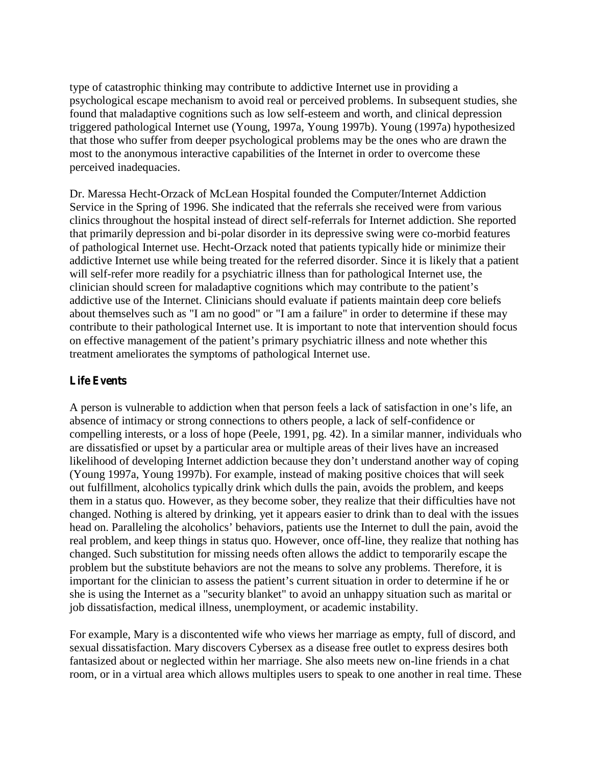type of catastrophic thinking may contribute to addictive Internet use in providing a psychological escape mechanism to avoid real or perceived problems. In subsequent studies, she found that maladaptive cognitions such as low self-esteem and worth, and clinical depression triggered pathological Internet use (Young, 1997a, Young 1997b). Young (1997a) hypothesized that those who suffer from deeper psychological problems may be the ones who are drawn the most to the anonymous interactive capabilities of the Internet in order to overcome these perceived inadequacies.

Dr. Maressa Hecht-Orzack of McLean Hospital founded the Computer/Internet Addiction Service in the Spring of 1996. She indicated that the referrals she received were from various clinics throughout the hospital instead of direct self-referrals for Internet addiction. She reported that primarily depression and bi-polar disorder in its depressive swing were co-morbid features of pathological Internet use. Hecht-Orzack noted that patients typically hide or minimize their addictive Internet use while being treated for the referred disorder. Since it is likely that a patient will self-refer more readily for a psychiatric illness than for pathological Internet use, the clinician should screen for m aladaptive cognitions  $\bf{w}$  hich m ay contribute to the patient's addictive use of the Internet. Clinicians should evaluate if patients maintain deep core beliefs about themselves such as "I am no good" or "I am a failure" in order to determine if these may contribute to their pathological Internet use. It is important to note that intervention should focus on effective managem ent of the patient's prim ary psychiatric illness and no te w hether this treatment ameliorates the symptoms of pathological Internet use.

## **Life Events**

A person is vulnerable to addiction w hen that person feels a lack of satisfaction in one's life, an absence of intimacy or strong connections to others people, a lack of self-confidence or compelling interests, or a loss of hope (Peele, 1991, pg. 42). In a similar manner, individuals who are dissatisfied or upset by a particular area or multiple areas of their lives have an increased likelihood of developing Internet addiction because they don't understand another w ay of coping (Young 1997a, Young 1997b). For example, instead of making positive choices that will seek out fulfillment, alcoholics typically drink which dulls the pain, avoids the problem, and keeps them in a status quo. However, as they become sober, they realize that their difficulties have not changed. Nothing is altered by drinking, yet it appears easier to drink than to deal with the issues head on. P aralleling the alcoholics' behaviors, patients use the Internet to dull the pain, avoid the real problem, and keep things in status quo. However, once off-line, they realize that nothing has changed. Such substitution for missing needs often allows the addict to temporarily escape the problem but the substitute behaviors are not the means to solve any problems. Therefore, it is im portant for the clinician to assess the patient's current situation in order to determ ine if he or she is using the Internet as a "security blanket" to avoid an unhappy situation such as marital or job dissatisfaction, medical illness, unemployment, or academic instability.

For example, Mary is a discontented wife who views her marriage as empty, full of discord, and sexual dissatisfaction. Mary discovers Cybersex as a disease free outlet to express desires both fantasized about or neglected within her marriage. She also meets new on-line friends in a chat room, or in a virtual area which allows multiples users to speak to one another in real time. These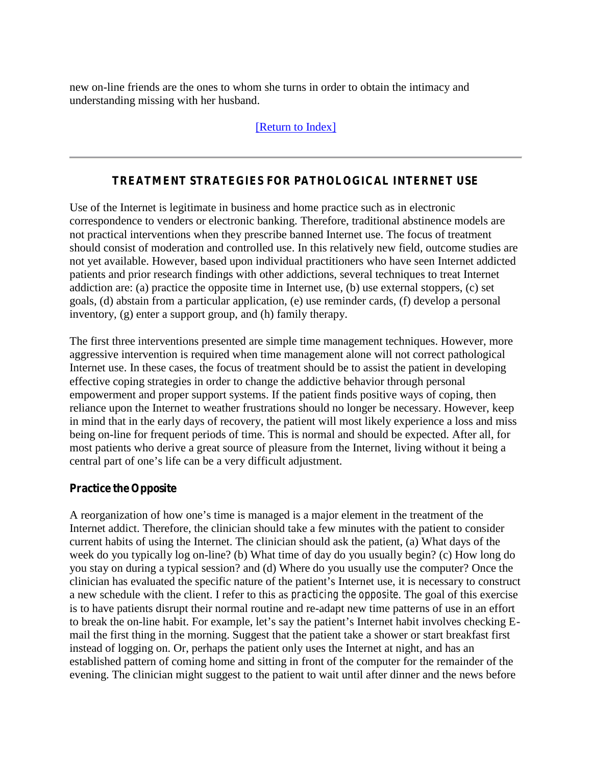new on-line friends are the ones to whom she turns in order to obtain the intimacy and understanding missing with her husband.

#### [\[Return to Index\]](#page-0-0)

### **TREATMENT STRATEGIES FOR PATHOLOGICAL INTERNET USE**

<span id="page-9-0"></span>Use of the Internet is legitimate in business and home practice such as in electronic correspondence to venders or electronic banking. Therefore, traditional abstinence models are not practical interventions when they prescribe banned Internet use. The focus of treatment should consist of moderation and controlled use. In this relatively new field, outcome studies are not yet available. However, based upon individual practitioners who have seen Internet addicted patients and prior research findings with other addictions, several techniques to treat Internet addiction are: (a) practice the opposite time in Internet use, (b) use external stoppers, (c) set goals, (d) abstain from a particular application, (e) use reminder cards, (f) develop a personal inventory, (g) enter a support group, and (h) family therapy.

The first three interventions presented are simple time management techniques. However, more aggressive intervention is required when time management alone will not correct pathological Internet use. In these cases, the focus of treatment should be to assist the patient in developing effective coping strategies in order to change the addictive behavior through personal empowerment and proper support systems. If the patient finds positive ways of coping, then reliance upon the Internet to weather frustrations should no longer be necessary. However, keep in mind that in the early days of recovery, the patient will most likely experience a loss and miss being on-line for frequent periods of time. This is normal and should be expected. After all, for most patients who derive a great source of pleasure from the Internet, living without it being a central part of one's life can be a very difficult ad justm ent.

#### **Practice the Opposite**

A reorganization of how one's tim e is m anaged is a m ajor elem ent in the treatm ent of the Internet addict. Therefore, the clinician should take a few minutes with the patient to consider current habits of using the Internet. The clinician should ask the patient, (a) What days of the week do you typically log on-line? (b) What time of day do you usually begin? (c) How long do you stay on during a typical session? and (d) Where do you usually use the computer? Once the clinician has evaluated the specific nature of the patient's Internet use, it is necessary to construct a new schedule with the client. I refer to this as *practicing the opposite*. The goal of this exercise is to have patients disrupt their normal routine and re-adapt new time patterns of use in an effort to break the on-line habit. For example, let's say the patient's Internet habit involves checking Email the first thing in the morning. Suggest that the patient take a shower or start breakfast first instead of logging on. Or, perhaps the patient only uses the Internet at night, and has an established pattern of coming home and sitting in front of the computer for the remainder of the evening. The clinician might suggest to the patient to wait until after dinner and the news before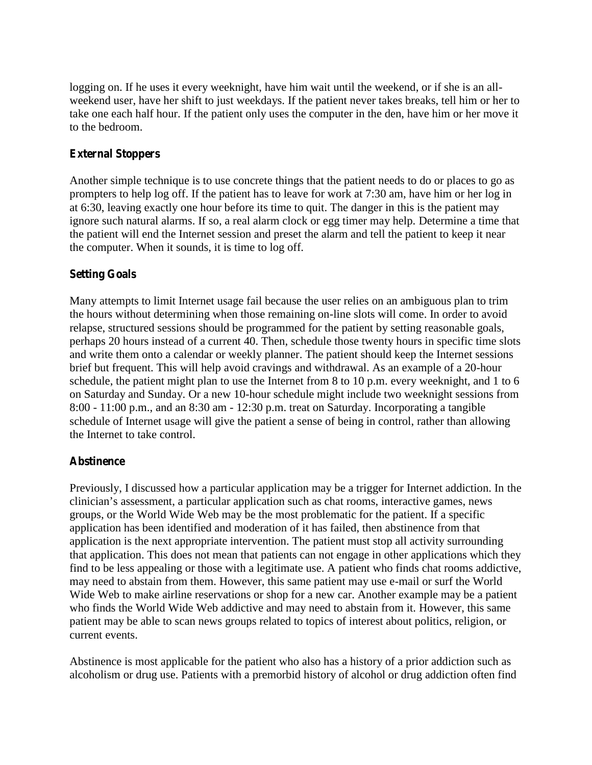logging on. If he uses it every weeknight, have him wait until the weekend, or if she is an allweekend user, have her shift to just weekdays. If the patient never takes breaks, tell him or her to take one each half hour. If the patient only uses the computer in the den, have him or her move it to the bedroom.

## **External Stoppers**

Another simple technique is to use concrete things that the patient needs to do or places to go as prompters to help log off. If the patient has to leave for work at 7:30 am, have him or her log in at 6:30, leaving exactly one hour before its time to quit. The danger in this is the patient may ignore such natural alarms. If so, a real alarm clock or egg timer may help. Determine a time that the patient will end the Internet session and preset the alarm and tell the patient to keep it near the computer. When it sounds, it is time to log off.

### **Setting Goals**

Many attempts to limit Internet usage fail because the user relies on an ambiguous plan to trim the hours without determining when those remaining on-line slots will come. In order to avoid relapse, structured sessions should be programmed for the patient by setting reasonable goals, perhaps 20 hours instead of a current 40. Then, schedule those twenty hours in specific time slots and write them onto a calendar or weekly planner. The patient should keep the Internet sessions brief but frequent. This will help avoid cravings and withdrawal. As an example of a 20-hour schedule, the patient might plan to use the Internet from 8 to 10 p.m. every weeknight, and 1 to 6 on Saturday and Sunday. Or a new 10-hour schedule might include two weeknight sessions from 8:00 - 11:00 p.m., and an 8:30 am - 12:30 p.m. treat on Saturday. Incorporating a tangible schedule of Internet usage will give the patient a sense of being in control, rather than allowing the Internet to take control.

#### **Abstinence**

Previously, I discussed how a particular application may be a trigger for Internet addiction. In the clinician's assessm ent, a particular application such as chat room s, interactive gam es, new s groups, or the World Wide Web may be the most problematic for the patient. If a specific application has been identified and moderation of it has failed, then abstinence from that application is the next appropriate intervention. The patient must stop all activity surrounding that application. This does not mean that patients can not engage in other applications which they find to be less appealing or those with a legitimate use. A patient who finds chat rooms addictive, may need to abstain from them. However, this same patient may use e-mail or surf the World Wide Web to make airline reservations or shop for a new car. Another example may be a patient who finds the World Wide Web addictive and may need to abstain from it. However, this same patient may be able to scan news groups related to topics of interest about politics, religion, or current events.

Abstinence is most applicable for the patient who also has a history of a prior addiction such as alcoholism or drug use. Patients with a premorbid history of alcohol or drug addiction often find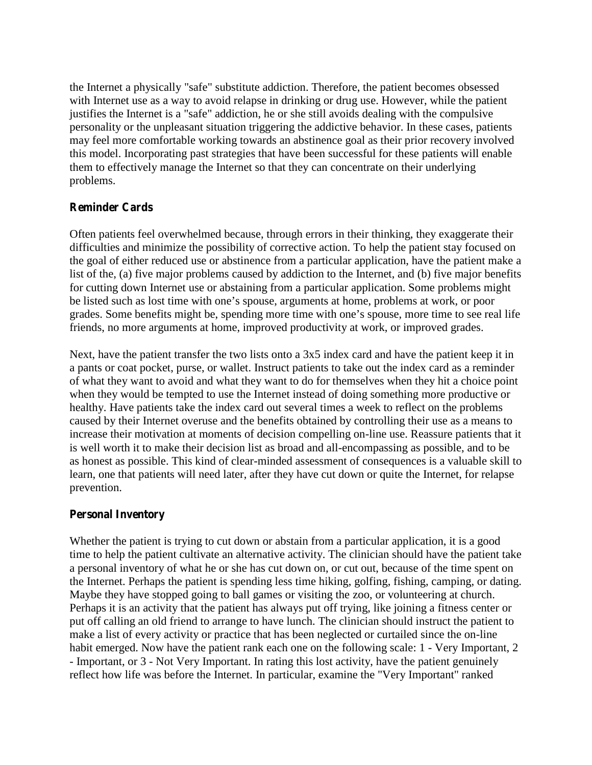the Internet a physically "safe" substitute addiction. Therefore, the patient becomes obsessed with Internet use as a way to avoid relapse in drinking or drug use. However, while the patient justifies the Internet is a "safe" addiction, he or she still avoids dealing with the compulsive personality or the unpleasant situation triggering the addictive behavior. In these cases, patients may feel more comfortable working towards an abstinence goal as their prior recovery involved this model. Incorporating past strategies that have been successful for these patients will enable them to effectively manage the Internet so that they can concentrate on their underlying problems.

### **Reminder Cards**

Often patients feel overwhelmed because, through errors in their thinking, they exaggerate their difficulties and minimize the possibility of corrective action. To help the patient stay focused on the goal of either reduced use or abstinence from a particular application, have the patient make a list of the, (a) five major problems caused by addiction to the Internet, and (b) five major benefits for cutting down Internet use or abstaining from a particular application. Some problems might be listed such as lost time w ith one's spouse, argum ents at home, problem s at w ork, or poor grades. Some benefits m ight be, spending more time w ith one's spouse, more time to see real life friends, no more arguments at home, improved productivity at work, or improved grades.

Next, have the patient transfer the two lists onto a 3x5 index card and have the patient keep it in a pants or coat pocket, purse, or wallet. Instruct patients to take out the index card as a reminder of what they want to avoid and what they want to do for themselves when they hit a choice point when they would be tempted to use the Internet instead of doing something more productive or healthy. Have patients take the index card out several times a week to reflect on the problems caused by their Internet overuse and the benefits obtained by controlling their use as a means to increase their motivation at moments of decision compelling on-line use. Reassure patients that it is well worth it to make their decision list as broad and all-encompassing as possible, and to be as honest as possible. This kind of clear-minded assessment of consequences is a valuable skill to learn, one that patients will need later, after they have cut down or quite the Internet, for relapse prevention.

#### **Personal Inventory**

Whether the patient is trying to cut down or abstain from a particular application, it is a good time to help the patient cultivate an alternative activity. The clinician should have the patient take a personal inventory of what he or she has cut down on, or cut out, because of the time spent on the Internet. Perhaps the patient is spending less time hiking, golfing, fishing, camping, or dating. Maybe they have stopped going to ball games or visiting the zoo, or volunteering at church. Perhaps it is an activity that the patient has always put off trying, like joining a fitness center or put off calling an old friend to arrange to have lunch. The clinician should instruct the patient to make a list of every activity or practice that has been neglected or curtailed since the on-line habit emerged. Now have the patient rank each one on the following scale: 1 - Very Important, 2 - Important, or 3 - Not Very Important. In rating this lost activity, have the patient genuinely reflect how life was before the Internet. In particular, examine the "Very Important" ranked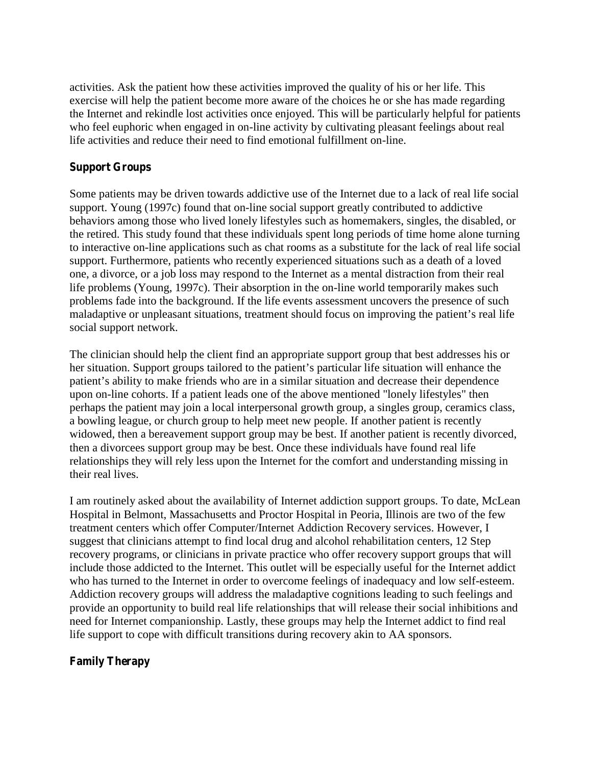activities. Ask the patient how these activities improved the quality of his or her life. This exercise will help the patient become more aware of the choices he or she has made regarding the Internet and rekindle lost activities once enjoyed. This will be particularly helpful for patients who feel euphoric when engaged in on-line activity by cultivating pleasant feelings about real life activities and reduce their need to find emotional fulfillment on-line.

### **Support Groups**

Some patients may be driven towards addictive use of the Internet due to a lack of real life social support. Young (1997c) found that on-line social support greatly contributed to addictive behaviors among those who lived lonely lifestyles such as homemakers, singles, the disabled, or the retired. This study found that these individuals spent long periods of time home alone turning to interactive on-line applications such as chat rooms as a substitute for the lack of real life social support. Furthermore, patients who recently experienced situations such as a death of a loved one, a divorce, or a job loss may respond to the Internet as a mental distraction from their real life problems (Young, 1997c). Their absorption in the on-line world temporarily makes such problems fade into the background. If the life events assessment uncovers the presence of such maladaptive or unpleasant situations, treatment should focus on improving the patient's real life social support network.

The clinician should help the client find an appropriate support group that best addresses his or her situation. Support groups tailored to the patient's particular life situation w ill enhance the patient's ability to make friends who are in a similar situation and decrease their dependence upon on-line cohorts. If a patient leads one of the above mentioned "lonely lifestyles" then perhaps the patient may join a local interpersonal growth group, a singles group, ceramics class, a bowling league, or church group to help meet new people. If another patient is recently widowed, then a bereavement support group may be best. If another patient is recently divorced, then a divorcees support group may be best. Once these individuals have found real life relationships they will rely less upon the Internet for the comfort and understanding missing in their real lives.

I am routinely asked about the availability of Internet addiction support groups. To date, McLean Hospital in Belmont, Massachusetts and Proctor Hospital in Peoria, Illinois are two of the few treatment centers which offer Computer/Internet Addiction Recovery services. However, I suggest that clinicians attempt to find local drug and alcohol rehabilitation centers, 12 Step recovery programs, or clinicians in private practice who offer recovery support groups that will include those addicted to the Internet. This outlet will be especially useful for the Internet addict who has turned to the Internet in order to overcome feelings of inadequacy and low self-esteem. Addiction recovery groups will address the maladaptive cognitions leading to such feelings and provide an opportunity to build real life relationships that will release their social inhibitions and need for Internet companionship. Lastly, these groups may help the Internet addict to find real life support to cope with difficult transitions during recovery akin to AA sponsors.

#### **Family Therapy**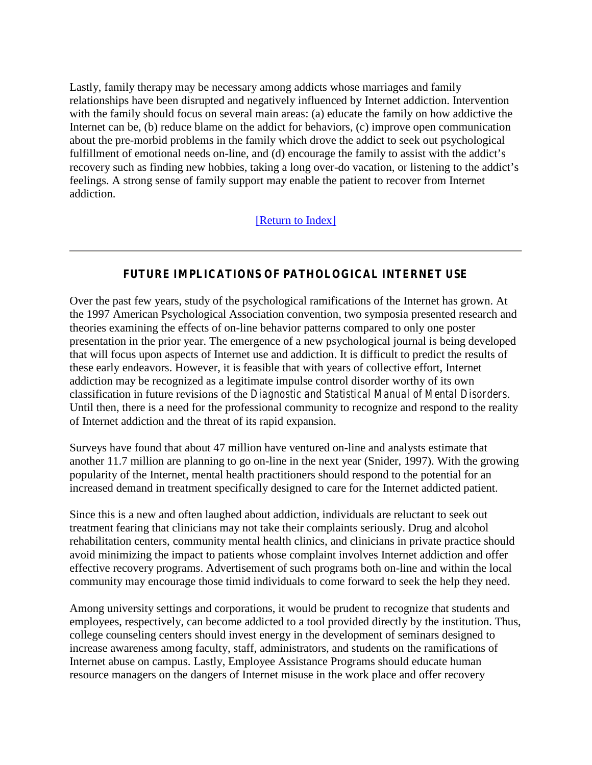Lastly, family therapy may be necessary among addicts whose marriages and family relationships have been disrupted and negatively influenced by Internet addiction. Intervention with the family should focus on several main areas: (a) educate the family on how addictive the Internet can be, (b) reduce blame on the addict for behaviors, (c) improve open communication about the pre-morbid problems in the family which drove the addict to seek out psychological fulfillment of emotional needs on-line, and (d) encourage the fam ily to assist w ith the addict's recovery such as finding new hobbies, taking a long over-do vacation, or listening to the addict's feelings. A strong sense of family support may enable the patient to recover from Internet addiction.

## [\[Return to Index\]](#page-0-0)

### **FUTURE IMPLICATIONS OF PATHOLOGICAL INTERNET USE**

<span id="page-13-0"></span>Over the past few years, study of the psychological ramifications of the Internet has grown. At the 1997 American Psychological Association convention, two symposia presented research and theories examining the effects of on-line behavior patterns compared to only one poster presentation in the prior year. The emergence of a new psychological journal is being developed that will focus upon aspects of Internet use and addiction. It is difficult to predict the results of these early endeavors. However, it is feasible that with years of collective effort, Internet addiction may be recognized as a legitimate impulse control disorder worthy of its own classification in future revisions of the *Diagnostic and Statistical Manual of Mental Disorders*. Until then, there is a need for the professional community to recognize and respond to the reality of Internet addiction and the threat of its rapid expansion.

Surveys have found that about 47 million have ventured on-line and analysts estimate that another 11.7 million are planning to go on-line in the next year (Snider, 1997). With the growing popularity of the Internet, mental health practitioners should respond to the potential for an increased demand in treatment specifically designed to care for the Internet addicted patient.

Since this is a new and often laughed about addiction, individuals are reluctant to seek out treatment fearing that clinicians may not take their complaints seriously. Drug and alcohol rehabilitation centers, community mental health clinics, and clinicians in private practice should avoid minimizing the impact to patients whose complaint involves Internet addiction and offer effective recovery programs. Advertisement of such programs both on-line and within the local community may encourage those timid individuals to come forward to seek the help they need.

Among university settings and corporations, it would be prudent to recognize that students and employees, respectively, can become addicted to a tool provided directly by the institution. Thus, college counseling centers should invest energy in the development of seminars designed to increase awareness among faculty, staff, administrators, and students on the ramifications of Internet abuse on campus. Lastly, Employee Assistance Programs should educate human resource managers on the dangers of Internet misuse in the work place and offer recovery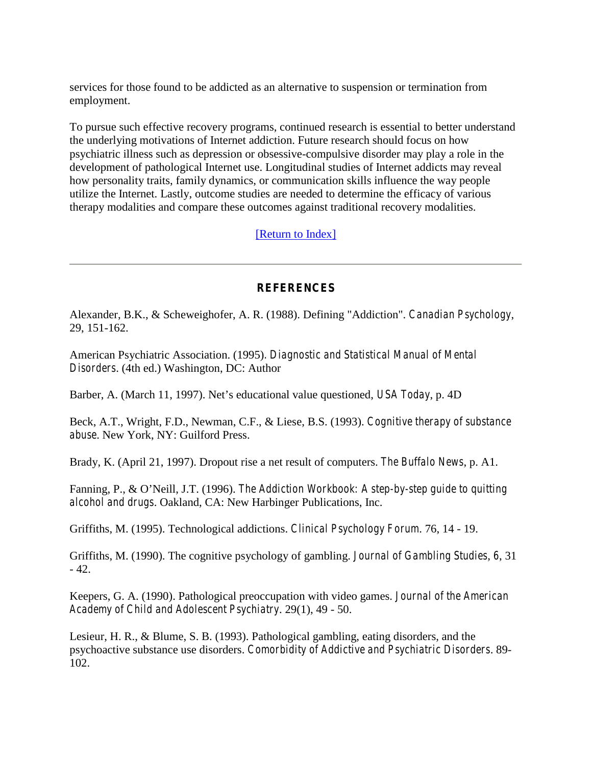services for those found to be addicted as an alternative to suspension or termination from employment.

To pursue such effective recovery programs, continued research is essential to better understand the underlying motivations of Internet addiction. Future research should focus on how psychiatric illness such as depression or obsessive-compulsive disorder may play a role in the development of pathological Internet use. Longitudinal studies of Internet addicts may reveal how personality traits, family dynamics, or communication skills influence the way people utilize the Internet. Lastly, outcome studies are needed to determine the efficacy of various therapy modalities and compare these outcomes against traditional recovery modalities.

[\[Return to Index\]](#page-0-0)

### **REFERENCES**

<span id="page-14-0"></span>Alexander, B.K., & Scheweighofer, A. R. (1988). Defining "Addiction". *Canadian Psychology*, 29, 151-162.

American Psychiatric Association. (1995)*. Diagnostic and Statistical Manual of Mental Disorders*. (4th ed.) Washington, DC: Author

B arb er, A . (M arch 11, 19 97). N et's edu cational value questioned, *USA Today*, p. 4D

Beck, A.T., Wright, F.D., Newman, C.F., & Liese, B.S. (1993). *Cognitive therapy of substance abuse*. New York, NY: Guilford Press.

Brady, K. (April 21, 1997). Dropout rise a net result of computers. *The Buffalo News*, p. A1.

Fanning, P., & 0 'N eill, J.T. (1996). *The Addiction Workbook: A step-by-step guide to quitting alcohol and drugs*. Oakland, CA: New Harbinger Publications, Inc.

Griffiths, M. (1995). Technological addictions. *Clinical Psychology Forum*. 76, 14 - 19.

Griffiths, M. (1990). The cognitive psychology of gambling. *Journal of Gambling Studies*, *6*, 31 - 42.

Keepers, G. A. (1990). Pathological preoccupation with video games. *Journal of the American Academy of Child and Adolescent Psychiatry*. 29(1), 49 - 50.

Lesieur, H. R., & Blume, S. B. (1993). Pathological gambling, eating disorders, and the psychoactive substance use disorders. *Comorbidity of Addictive and Psychiatric Disorders*. 89- 102.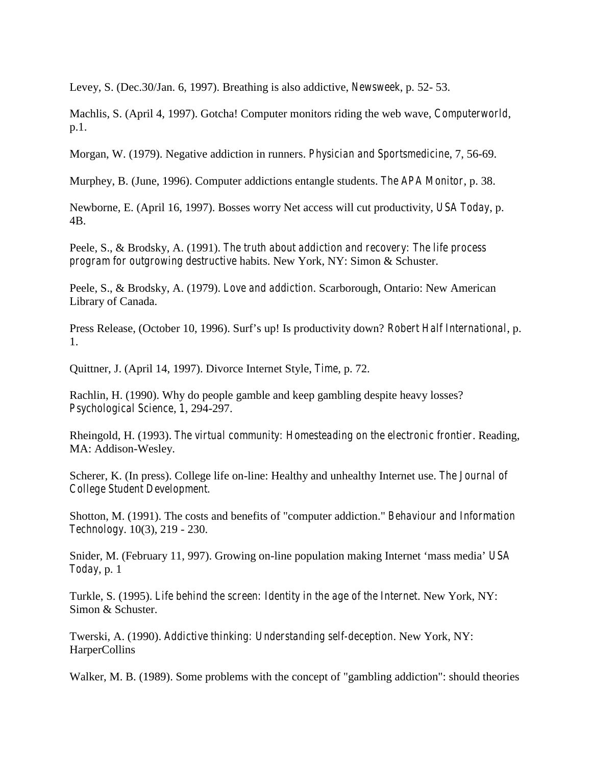Levey, S. (Dec.30/Jan. 6, 1997). Breathing is also addictive, *Newsweek*, p. 52- 53.

Machlis, S. (April 4, 1997). Gotcha! Computer monitors riding the web wave, *Computerworld*, p.1.

Morgan, W. (1979). Negative addiction in runners. *Physician and Sportsmedicine*, 7, 56-69.

Murphey, B. (June, 1996). Computer addictions entangle students. *The APA Monitor*, p. 38.

Newborne, E. (April 16, 1997). Bosses worry Net access will cut productivity, *USA Today*, p. 4B.

Peele, S., & Brodsky, A. (1991). *The truth about addiction and recovery: The life process program for outgrowing destructive* habits. New York, NY: Simon & Schuster.

Peele, S., & Brodsky, A. (1979). *Love and addiction*. Scarborough, Ontario: New American Library of Canada.

P ress R elease, (O ctober 10, 1996). S urf's up! Is p roductivity dow n? *Robert Half International*, p. 1.

Quittner, J. (April 14, 1997). Divorce Internet Style, *Time*, p. 72.

Rachlin, H. (1990). Why do people gamble and keep gambling despite heavy losses? *Psychological Science*, *1*, 294-297.

Rheingold, H. (1993). *The virtual community: Homesteading on the electronic frontier*. Reading, MA: Addison-Wesley.

Scherer, K. (In press). College life on-line: Healthy and unhealthy Internet use. *The Journal of College Student Development.*

Shotton, M. (1991). The costs and benefits of "computer addiction." *Behaviour and Information Technology*. 10(3), 219 - 230.

Snider, M. (February 11, 997). Growing on-line population m aking Internet 'm ass m edia' *USA Today*, p. 1

Turkle, S. (1995). *Life behind the screen: Identity in the age of the Internet*. New York, NY: Simon & Schuster.

Twerski, A. (1990). *Addictive thinking: Understanding self-deception*. New York, NY: HarperCollins

Walker, M. B. (1989). Some problems with the concept of "gambling addiction": should theories